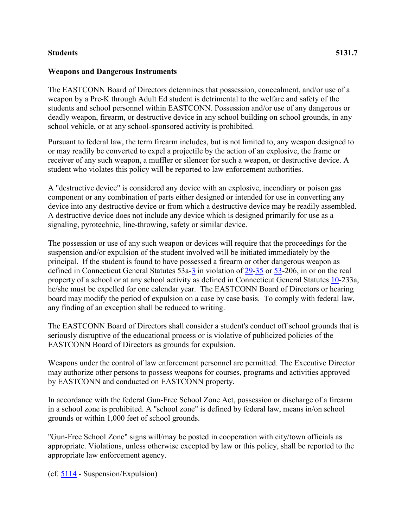## **Students 5131.7**

## **Weapons and Dangerous Instruments**

The EASTCONN Board of Directors determines that possession, concealment, and/or use of a weapon by a Pre-K through Adult Ed student is detrimental to the welfare and safety of the students and school personnel within EASTCONN. Possession and/or use of any dangerous or deadly weapon, firearm, or destructive device in any school building on school grounds, in any school vehicle, or at any school-sponsored activity is prohibited.

Pursuant to federal law, the term firearm includes, but is not limited to, any weapon designed to or may readily be converted to expel a projectile by the action of an explosive, the frame or receiver of any such weapon, a muffler or silencer for such a weapon, or destructive device. A student who violates this policy will be reported to law enforcement authorities.

A "destructive device" is considered any device with an explosive, incendiary or poison gas component or any combination of parts either designed or intended for use in converting any device into any destructive device or from which a destructive device may be readily assembled. A destructive device does not include any device which is designed primarily for use as a signaling, pyrotechnic, line-throwing, safety or similar device.

The possession or use of any such weapon or devices will require that the proceedings for the suspension and/or expulsion of the student involved will be initiated immediately by the principal. If the student is found to have possessed a firearm or other dangerous weapon as defined in Connecticut General Statutes 53a[-3](http://www.cga.ct.gov/2011/pub/Title3.htm) in violation of [29](http://www.cga.ct.gov/2011/pub/Title29.htm)[-35](http://www.cga.ct.gov/2011/pub/Title35.htm) or [53-](http://www.cga.ct.gov/2011/pub/Title53.htm)206, in or on the real property of a school or at any school activity as defined in Connecticut General Statutes [10-](http://www.cga.ct.gov/2011/pub/Title10.htm)233a, he/she must be expelled for one calendar year. The EASTCONN Board of Directors or hearing board may modify the period of expulsion on a case by case basis. To comply with federal law, any finding of an exception shall be reduced to writing.

The EASTCONN Board of Directors shall consider a student's conduct off school grounds that is seriously disruptive of the educational process or is violative of publicized policies of the EASTCONN Board of Directors as grounds for expulsion.

Weapons under the control of law enforcement personnel are permitted. The Executive Director may authorize other persons to possess weapons for courses, programs and activities approved by EASTCONN and conducted on EASTCONN property.

In accordance with the federal Gun-Free School Zone Act, possession or discharge of a firearm in a school zone is prohibited. A "school zone" is defined by federal law, means in/on school grounds or within 1,000 feet of school grounds.

"Gun-Free School Zone" signs will/may be posted in cooperation with city/town officials as appropriate. Violations, unless otherwise excepted by law or this policy, shall be reported to the appropriate law enforcement agency.

(cf. [5114](http://z2policy.cabe.org/cabe/DocViewer.jsp?docid=235&z2collection=core#JD_5114) - Suspension/Expulsion)